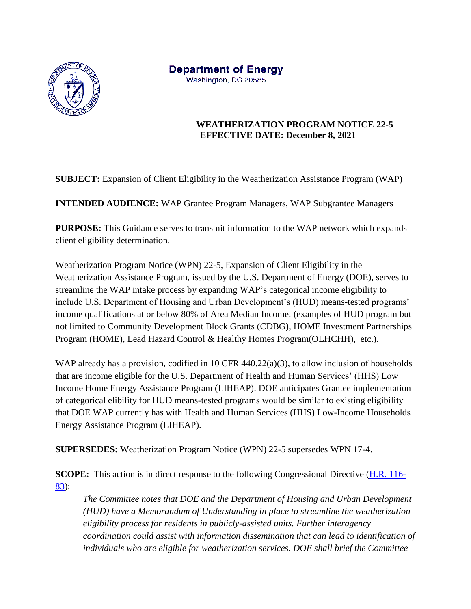

**Department of Energy** Washington, DC 20585

> **WEATHERIZATION PROGRAM NOTICE 22-5 EFFECTIVE DATE: December 8, 2021**

**SUBJECT:** Expansion of Client Eligibility in the Weatherization Assistance Program (WAP)

**INTENDED AUDIENCE:** WAP Grantee Program Managers, WAP Subgrantee Managers

**PURPOSE:** This Guidance serves to transmit information to the WAP network which expands client eligibility determination.

Weatherization Program Notice (WPN) 22-5, Expansion of Client Eligibility in the Weatherization Assistance Program, issued by the U.S. Department of Energy (DOE), serves to streamline the WAP intake process by expanding WAP's categorical income eligibility to include U.S. Department of Housing and Urban Development's (HUD) means-tested programs' income qualifications at or below 80% of Area Median Income. (examples of HUD program but not limited to Community Development Block Grants (CDBG), HOME Investment Partnerships Program (HOME), Lead Hazard Control & Healthy Homes Program(OLHCHH), etc.).

WAP already has a provision, codified in 10 CFR 440.22(a)(3), to allow inclusion of households that are income eligible for the U.S. Department of Health and Human Services' (HHS) Low Income Home Energy Assistance Program (LIHEAP). DOE anticipates Grantee implementation of categorical elibility for HUD means-tested programs would be similar to existing eligibility that DOE WAP currently has with Health and Human Services (HHS) Low-Income Households Energy Assistance Program (LIHEAP).

**SUPERSEDES:** Weatherization Program Notice (WPN) 22-5 supersedes WPN 17-4.

**SCOPE:** This action is in direct response to the following Congressional Directive [\(H.R. 116-](https://appropriations.house.gov/sites/democrats.appropriations.house.gov/files/FY2020%20E%26W%20Filed%20Report%20HR2960.pdf) [83\)](https://appropriations.house.gov/sites/democrats.appropriations.house.gov/files/FY2020%20E%26W%20Filed%20Report%20HR2960.pdf):

*The Committee notes that DOE and the Department of Housing and Urban Development (HUD) have a Memorandum of Understanding in place to streamline the weatherization eligibility process for residents in publicly-assisted units. Further interagency coordination could assist with information dissemination that can lead to identification of individuals who are eligible for weatherization services. DOE shall brief the Committee*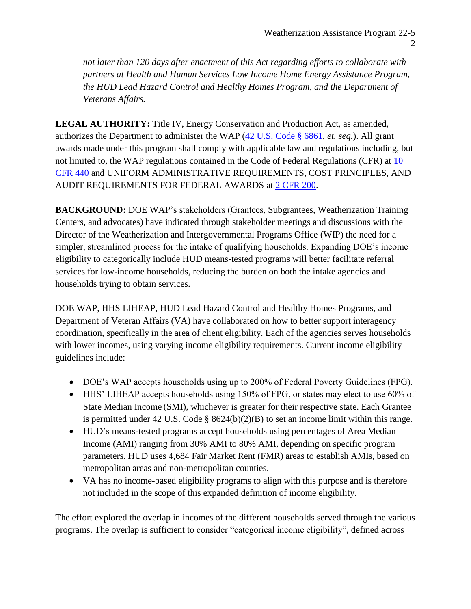*not later than 120 days after enactment of this Act regarding efforts to collaborate with partners at Health and Human Services Low Income Home Energy Assistance Program, the HUD Lead Hazard Control and Healthy Homes Program, and the Department of Veterans Affairs.*

**LEGAL AUTHORITY:** Title IV, Energy Conservation and Production Act, as amended, authorizes the Department to administer the WAP [\(42 U.S.](https://www.govinfo.gov/content/pkg/USCODE-2013-title42/pdf/USCODE-2013-title42-chap81-subchapIII-partA.pdf) Code § 6861, *et. seq.*). All grant awards made under this program shall comply with applicable law and regulations including, but not limited to, the WAP regulations contained in the Code of Federal Regulations (CFR) at 10 [CFR 440](http://www.ecfr.gov/cgi-bin/text-idx?tpl=/ecfrbrowse/Title10/10cfr440_main_02.tpl) and UNIFORM ADMINISTRATIVE REQUIREMENTS, COST PRINCIPLES, AND AUDIT REQUIREMENTS FOR FEDERAL AWARDS at [2 CFR 200.](http://www.ecfr.gov/cgi-bin/text-idx?tpl=/ecfrbrowse/Title02/2cfr200_main_02.tpl)

**BACKGROUND:** DOE WAP's stakeholders (Grantees, Subgrantees, Weatherization Training Centers, and advocates) have indicated through stakeholder meetings and discussions with the Director of the Weatherization and Intergovernmental Programs Office (WIP) the need for a simpler, streamlined process for the intake of qualifying households. Expanding DOE's income eligibility to categorically include HUD means-tested programs will better facilitate referral services for low-income households, reducing the burden on both the intake agencies and households trying to obtain services.

DOE WAP, HHS LIHEAP, HUD Lead Hazard Control and Healthy Homes Programs, and Department of Veteran Affairs (VA) have collaborated on how to better support interagency coordination, specifically in the area of client eligibility. Each of the agencies serves households with lower incomes, using varying income eligibility requirements. Current income eligibility guidelines include:

- DOE's WAP accepts households using up to 200% of Federal Poverty Guidelines (FPG).
- HHS' LIHEAP accepts households using 150% of FPG, or states may elect to use 60% of State Median Income (SMI), whichever is greater for their respective state. Each Grantee is permitted under 42 U.S. Code § 8624(b)(2)(B) to set an income limit within this range.
- HUD's means-tested programs accept households using percentages of Area Median Income (AMI) ranging from 30% AMI to 80% AMI, depending on specific program parameters. HUD uses 4,684 Fair Market Rent (FMR) areas to establish AMIs, based on metropolitan areas and non-metropolitan counties.
- VA has no income-based eligibility programs to align with this purpose and is therefore not included in the scope of this expanded definition of income eligibility.

The effort explored the overlap in incomes of the different households served through the various programs. The overlap is sufficient to consider "categorical income eligibility", defined across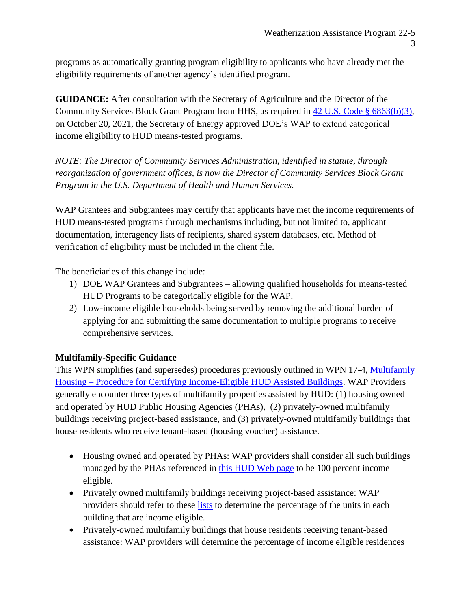programs as automatically granting program eligibility to applicants who have already met the eligibility requirements of another agency's identified program.

**GUIDANCE:** After consultation with the Secretary of Agriculture and the Director of the Community Services Block Grant Program from HHS, as required in [42 U.S. Code §](https://www.govinfo.gov/content/pkg/USCODE-2013-title42/pdf/USCODE-2013-title42-chap81-subchapIII-partA.pdf) 6863(b)(3), on October 20, 2021, the Secretary of Energy approved DOE's WAP to extend categorical income eligibility to HUD means-tested programs.

*NOTE: The Director of Community Services Administration, identified in statute, through reorganization of government offices, is now the Director of Community Services Block Grant Program in the U.S. Department of Health and Human Services.*

WAP Grantees and Subgrantees may certify that applicants have met the income requirements of HUD means-tested programs through mechanisms including, but not limited to, applicant documentation, interagency lists of recipients, shared system databases, etc. Method of verification of eligibility must be included in the client file.

The beneficiaries of this change include:

- 1) DOE WAP Grantees and Subgrantees allowing qualified households for means-tested HUD Programs to be categorically eligible for the WAP.
- 2) Low-income eligible households being served by removing the additional burden of applying for and submitting the same documentation to multiple programs to receive comprehensive services.

## **Multifamily-Specific Guidance**

This WPN simplifies (and supersedes) procedures previously outlined in WPN 17-4, [Multifamily](https://www.energy.gov/eere/wap/articles/weatherization-program-notice-17-4-multifamily-housing-procedure-certifying)  Housing – [Procedure for Certifying Income-Eligible HUD Assisted Buildings.](https://www.energy.gov/eere/wap/articles/weatherization-program-notice-17-4-multifamily-housing-procedure-certifying) WAP Providers generally encounter three types of multifamily properties assisted by HUD: (1) housing owned and operated by HUD Public Housing Agencies (PHAs), (2) privately-owned multifamily buildings receiving project-based assistance, and (3) privately-owned multifamily buildings that house residents who receive tenant-based (housing voucher) assistance.

- Housing owned and operated by PHAs: WAP providers shall consider all such buildings managed by the PHAs referenced in [this HUD Web page](https://www.hud.gov/program_offices/public_indian_housing/pha/contacts) to be 100 percent income eligible.
- Privately owned multifamily buildings receiving project-based assistance: WAP providers should refer to these [lists](https://www.energy.gov/eere/wap/articles/weatherization-program-notice-17-4-multifamily-housing-procedure-certifying) to determine the percentage of the units in each building that are income eligible.
- Privately-owned multifamily buildings that house residents receiving tenant-based assistance: WAP providers will determine the percentage of income eligible residences